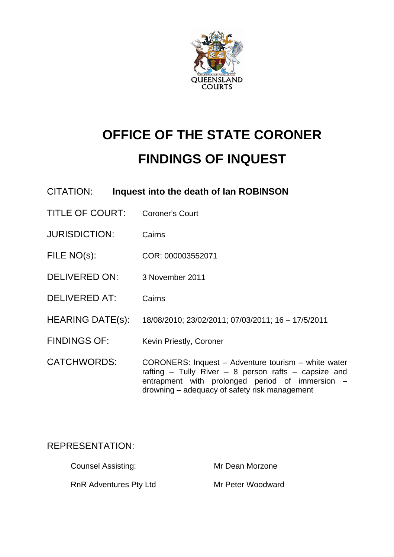

# **OFFICE OF THE STATE CORONER FINDINGS OF INQUEST**

| CITATION:            | Inquest into the death of Ian ROBINSON                                                                                                                                                                                |
|----------------------|-----------------------------------------------------------------------------------------------------------------------------------------------------------------------------------------------------------------------|
| TITLE OF COURT:      | <b>Coroner's Court</b>                                                                                                                                                                                                |
| <b>JURISDICTION:</b> | Cairns                                                                                                                                                                                                                |
| FILE NO(s):          | COR: 000003552071                                                                                                                                                                                                     |
| DELIVERED ON:        | 3 November 2011                                                                                                                                                                                                       |
| <b>DELIVERED AT:</b> | Cairns                                                                                                                                                                                                                |
| HEARING DATE(s):     | 18/08/2010; 23/02/2011; 07/03/2011; 16 - 17/5/2011                                                                                                                                                                    |
| <b>FINDINGS OF:</b>  | Kevin Priestly, Coroner                                                                                                                                                                                               |
| <b>CATCHWORDS:</b>   | CORONERS: Inquest - Adventure tourism - white water<br>rafting $-$ Tully River $-$ 8 person rafts $-$ capsize and<br>entrapment with prolonged period of immersion –<br>drowning – adequacy of safety risk management |

# REPRESENTATION:

| <b>Counsel Assisting:</b>     | Mr Dean Morzone   |
|-------------------------------|-------------------|
| <b>RnR Adventures Pty Ltd</b> | Mr Peter Woodward |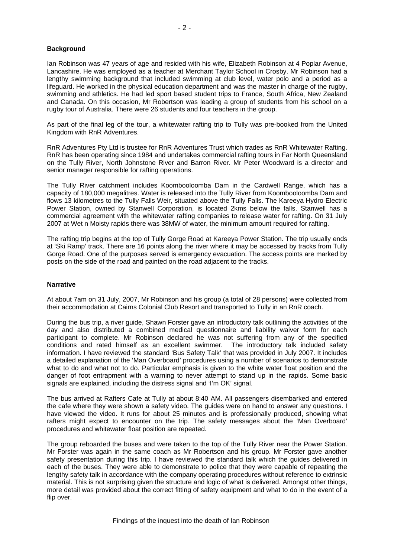Ian Robinson was 47 years of age and resided with his wife, Elizabeth Robinson at 4 Poplar Avenue, Lancashire. He was employed as a teacher at Merchant Taylor School in Crosby. Mr Robinson had a lengthy swimming background that included swimming at club level, water polo and a period as a lifeguard. He worked in the physical education department and was the master in charge of the rugby, swimming and athletics. He had led sport based student trips to France, South Africa, New Zealand and Canada. On this occasion, Mr Robertson was leading a group of students from his school on a rugby tour of Australia. There were 26 students and four teachers in the group.

As part of the final leg of the tour, a whitewater rafting trip to Tully was pre-booked from the United Kingdom with RnR Adventures.

RnR Adventures Pty Ltd is trustee for RnR Adventures Trust which trades as RnR Whitewater Rafting. RnR has been operating since 1984 and undertakes commercial rafting tours in Far North Queensland on the Tully River, North Johnstone River and Barron River. Mr Peter Woodward is a director and senior manager responsible for rafting operations.

The Tully River catchment includes Koombooloomba Dam in the Cardwell Range, which has a capacity of 180,000 megalitres. Water is released into the Tully River from Koombooloomba Dam and flows 13 kilometres to the Tully Falls Weir, situated above the Tully Falls. The Kareeya Hydro Electric Power Station, owned by Stanwell Corporation, is located 2kms below the falls. Stanwell has a commercial agreement with the whitewater rafting companies to release water for rafting. On 31 July 2007 at Wet n Moisty rapids there was 38MW of water, the minimum amount required for rafting.

The rafting trip begins at the top of Tully Gorge Road at Kareeya Power Station. The trip usually ends at 'Ski Ramp' track. There are 16 points along the river where it may be accessed by tracks from Tully Gorge Road. One of the purposes served is emergency evacuation. The access points are marked by posts on the side of the road and painted on the road adjacent to the tracks.

# **Narrative**

At about 7am on 31 July, 2007, Mr Robinson and his group (a total of 28 persons) were collected from their accommodation at Cairns Colonial Club Resort and transported to Tully in an RnR coach.

During the bus trip, a river guide, Shawn Forster gave an introductory talk outlining the activities of the day and also distributed a combined medical questionnaire and liability waiver form for each participant to complete. Mr Robinson declared he was not suffering from any of the specified conditions and rated himself as an excellent swimmer. The introductory talk included safety information. I have reviewed the standard 'Bus Safety Talk' that was provided in July 2007. It includes a detailed explanation of the 'Man Overboard' procedures using a number of scenarios to demonstrate what to do and what not to do. Particular emphasis is given to the white water float position and the danger of foot entrapment with a warning to never attempt to stand up in the rapids. Some basic signals are explained, including the distress signal and 'I'm OK' signal.

The bus arrived at Rafters Cafe at Tully at about 8:40 AM. All passengers disembarked and entered the cafe where they were shown a safety video. The guides were on hand to answer any questions. I have viewed the video. It runs for about 25 minutes and is professionally produced, showing what rafters might expect to encounter on the trip. The safety messages about the 'Man Overboard' procedures and whitewater float position are repeated.

The group reboarded the buses and were taken to the top of the Tully River near the Power Station. Mr Forster was again in the same coach as Mr Robertson and his group. Mr Forster gave another safety presentation during this trip. I have reviewed the standard talk which the guides delivered in each of the buses. They were able to demonstrate to police that they were capable of repeating the lengthy safety talk in accordance with the company operating procedures without reference to extrinsic material. This is not surprising given the structure and logic of what is delivered. Amongst other things, more detail was provided about the correct fitting of safety equipment and what to do in the event of a flip over.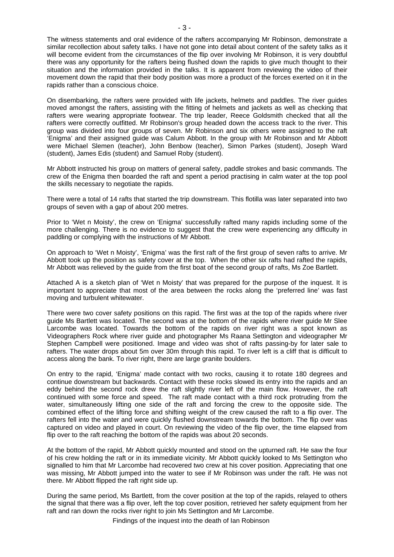The witness statements and oral evidence of the rafters accompanying Mr Robinson, demonstrate a similar recollection about safety talks. I have not gone into detail about content of the safety talks as it will become evident from the circumstances of the flip over involving Mr Robinson, it is very doubtful there was any opportunity for the rafters being flushed down the rapids to give much thought to their situation and the information provided in the talks. It is apparent from reviewing the video of their movement down the rapid that their body position was more a product of the forces exerted on it in the rapids rather than a conscious choice.

On disembarking, the rafters were provided with life jackets, helmets and paddles. The river guides moved amongst the rafters, assisting with the fitting of helmets and jackets as well as checking that rafters were wearing appropriate footwear. The trip leader, Reece Goldsmith checked that all the rafters were correctly outfitted. Mr Robinson's group headed down the access track to the river. This group was divided into four groups of seven. Mr Robinson and six others were assigned to the raft 'Enigma' and their assigned guide was Calum Abbott. In the group with Mr Robinson and Mr Abbott were Michael Slemen (teacher), John Benbow (teacher), Simon Parkes (student), Joseph Ward (student), James Edis (student) and Samuel Roby (student).

Mr Abbott instructed his group on matters of general safety, paddle strokes and basic commands. The crew of the Enigma then boarded the raft and spent a period practising in calm water at the top pool the skills necessary to negotiate the rapids.

There were a total of 14 rafts that started the trip downstream. This flotilla was later separated into two groups of seven with a gap of about 200 metres.

Prior to 'Wet n Moisty', the crew on 'Enigma' successfully rafted many rapids including some of the more challenging. There is no evidence to suggest that the crew were experiencing any difficulty in paddling or complying with the instructions of Mr Abbott.

On approach to 'Wet n Moisty', 'Enigma' was the first raft of the first group of seven rafts to arrive. Mr Abbott took up the position as safety cover at the top. When the other six rafts had rafted the rapids, Mr Abbott was relieved by the guide from the first boat of the second group of rafts, Ms Zoe Bartlett.

Attached A is a sketch plan of 'Wet n Moisty' that was prepared for the purpose of the inquest. It is important to appreciate that most of the area between the rocks along the 'preferred line' was fast moving and turbulent whitewater.

There were two cover safety positions on this rapid. The first was at the top of the rapids where river guide Ms Bartlett was located. The second was at the bottom of the rapids where river guide Mr Slee Larcombe was located. Towards the bottom of the rapids on river right was a spot known as Videographers Rock where river guide and photographer Ms Raana Settington and videographer Mr Stephen Campbell were positioned. Image and video was shot of rafts passing-by for later sale to rafters. The water drops about 5m over 30m through this rapid. To river left is a cliff that is difficult to access along the bank. To river right, there are large granite boulders.

On entry to the rapid, 'Enigma' made contact with two rocks, causing it to rotate 180 degrees and continue downstream but backwards. Contact with these rocks slowed its entry into the rapids and an eddy behind the second rock drew the raft slightly river left of the main flow. However, the raft continued with some force and speed. The raft made contact with a third rock protruding from the water, simultaneously lifting one side of the raft and forcing the crew to the opposite side. The combined effect of the lifting force and shifting weight of the crew caused the raft to a flip over. The rafters fell into the water and were quickly flushed downstream towards the bottom. The flip over was captured on video and played in court. On reviewing the video of the flip over, the time elapsed from flip over to the raft reaching the bottom of the rapids was about 20 seconds.

At the bottom of the rapid, Mr Abbott quickly mounted and stood on the upturned raft. He saw the four of his crew holding the raft or in its immediate vicinity. Mr Abbott quickly looked to Ms Settington who signalled to him that Mr Larcombe had recovered two crew at his cover position. Appreciating that one was missing, Mr Abbott jumped into the water to see if Mr Robinson was under the raft. He was not there. Mr Abbott flipped the raft right side up.

During the same period, Ms Bartlett, from the cover position at the top of the rapids, relayed to others the signal that there was a flip over, left the top cover position, retrieved her safety equipment from her raft and ran down the rocks river right to join Ms Settington and Mr Larcombe.

Findings of the inquest into the death of Ian Robinson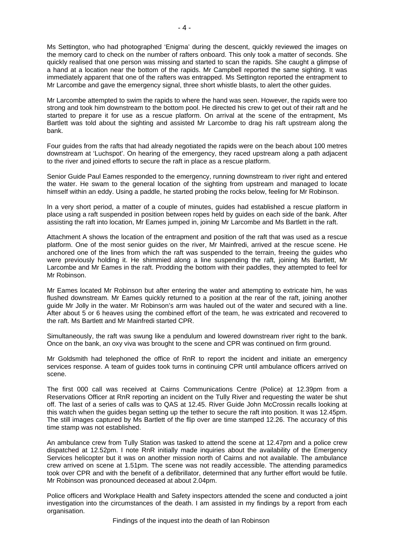Ms Settington, who had photographed 'Enigma' during the descent, quickly reviewed the images on the memory card to check on the number of rafters onboard. This only took a matter of seconds. She quickly realised that one person was missing and started to scan the rapids. She caught a glimpse of a hand at a location near the bottom of the rapids. Mr Campbell reported the same sighting. It was immediately apparent that one of the rafters was entrapped. Ms Settington reported the entrapment to Mr Larcombe and gave the emergency signal, three short whistle blasts, to alert the other guides.

Mr Larcombe attempted to swim the rapids to where the hand was seen. However, the rapids were too strong and took him downstream to the bottom pool. He directed his crew to get out of their raft and he started to prepare it for use as a rescue platform. On arrival at the scene of the entrapment, Ms Bartlett was told about the sighting and assisted Mr Larcombe to drag his raft upstream along the bank.

Four guides from the rafts that had already negotiated the rapids were on the beach about 100 metres downstream at 'Luchspot'. On hearing of the emergency, they raced upstream along a path adjacent to the river and joined efforts to secure the raft in place as a rescue platform.

Senior Guide Paul Eames responded to the emergency, running downstream to river right and entered the water. He swam to the general location of the sighting from upstream and managed to locate himself within an eddy. Using a paddle, he started probing the rocks below, feeling for Mr Robinson.

In a very short period, a matter of a couple of minutes, guides had established a rescue platform in place using a raft suspended in position between ropes held by guides on each side of the bank. After assisting the raft into location, Mr Eames jumped in, joining Mr Larcombe and Ms Bartlett in the raft.

Attachment A shows the location of the entrapment and position of the raft that was used as a rescue platform. One of the most senior guides on the river, Mr Mainfredi, arrived at the rescue scene. He anchored one of the lines from which the raft was suspended to the terrain, freeing the guides who were previously holding it. He shimmied along a line suspending the raft, joining Ms Bartlett, Mr Larcombe and Mr Eames in the raft. Prodding the bottom with their paddles, they attempted to feel for Mr Robinson.

Mr Eames located Mr Robinson but after entering the water and attempting to extricate him, he was flushed downstream. Mr Eames quickly returned to a position at the rear of the raft, joining another guide Mr Jolly in the water. Mr Robinson's arm was hauled out of the water and secured with a line. After about 5 or 6 heaves using the combined effort of the team, he was extricated and recovered to the raft. Ms Bartlett and Mr Mainfredi started CPR.

Simultaneously, the raft was swung like a pendulum and lowered downstream river right to the bank. Once on the bank, an oxy viva was brought to the scene and CPR was continued on firm ground.

Mr Goldsmith had telephoned the office of RnR to report the incident and initiate an emergency services response. A team of guides took turns in continuing CPR until ambulance officers arrived on scene.

The first 000 call was received at Cairns Communications Centre (Police) at 12.39pm from a Reservations Officer at RnR reporting an incident on the Tully River and requesting the water be shut off. The last of a series of calls was to QAS at 12.45. River Guide John McCrossin recalls looking at this watch when the guides began setting up the tether to secure the raft into position. It was 12.45pm. The still images captured by Ms Bartlett of the flip over are time stamped 12.26. The accuracy of this time stamp was not established.

An ambulance crew from Tully Station was tasked to attend the scene at 12.47pm and a police crew dispatched at 12.52pm. I note RnR initially made inquiries about the availability of the Emergency Services helicopter but it was on another mission north of Cairns and not available. The ambulance crew arrived on scene at 1.51pm. The scene was not readily accessible. The attending paramedics took over CPR and with the benefit of a defibrillator, determined that any further effort would be futile. Mr Robinson was pronounced deceased at about 2.04pm.

Police officers and Workplace Health and Safety inspectors attended the scene and conducted a joint investigation into the circumstances of the death. I am assisted in my findings by a report from each organisation.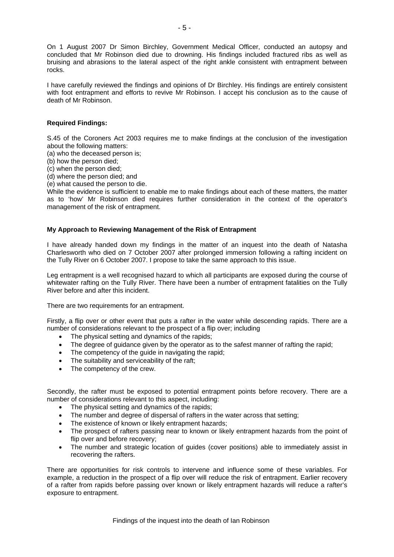On 1 August 2007 Dr Simon Birchley, Government Medical Officer, conducted an autopsy and concluded that Mr Robinson died due to drowning. His findings included fractured ribs as well as bruising and abrasions to the lateral aspect of the right ankle consistent with entrapment between rocks.

I have carefully reviewed the findings and opinions of Dr Birchley. His findings are entirely consistent with foot entrapment and efforts to revive Mr Robinson. I accept his conclusion as to the cause of death of Mr Robinson.

# **Required Findings:**

S.45 of the Coroners Act 2003 requires me to make findings at the conclusion of the investigation about the following matters:

(a) who the deceased person is;

(b) how the person died;

(c) when the person died;

(d) where the person died; and

(e) what caused the person to die.

While the evidence is sufficient to enable me to make findings about each of these matters, the matter as to 'how' Mr Robinson died requires further consideration in the context of the operator's management of the risk of entrapment.

# **My Approach to Reviewing Management of the Risk of Entrapment**

I have already handed down my findings in the matter of an inquest into the death of Natasha Charlesworth who died on 7 October 2007 after prolonged immersion following a rafting incident on the Tully River on 6 October 2007. I propose to take the same approach to this issue.

Leg entrapment is a well recognised hazard to which all participants are exposed during the course of whitewater rafting on the Tully River. There have been a number of entrapment fatalities on the Tully River before and after this incident.

There are two requirements for an entrapment.

Firstly, a flip over or other event that puts a rafter in the water while descending rapids. There are a number of considerations relevant to the prospect of a flip over; including

- The physical setting and dynamics of the rapids;
- The degree of quidance given by the operator as to the safest manner of rafting the rapid:
- The competency of the guide in navigating the rapid;
- The suitability and serviceability of the raft;
- The competency of the crew.

Secondly, the rafter must be exposed to potential entrapment points before recovery. There are a number of considerations relevant to this aspect, including:

- The physical setting and dynamics of the rapids;
- The number and degree of dispersal of rafters in the water across that setting;
- The existence of known or likely entrapment hazards;
- The prospect of rafters passing near to known or likely entrapment hazards from the point of flip over and before recovery;
- The number and strategic location of guides (cover positions) able to immediately assist in recovering the rafters.

There are opportunities for risk controls to intervene and influence some of these variables. For example, a reduction in the prospect of a flip over will reduce the risk of entrapment. Earlier recovery of a rafter from rapids before passing over known or likely entrapment hazards will reduce a rafter's exposure to entrapment.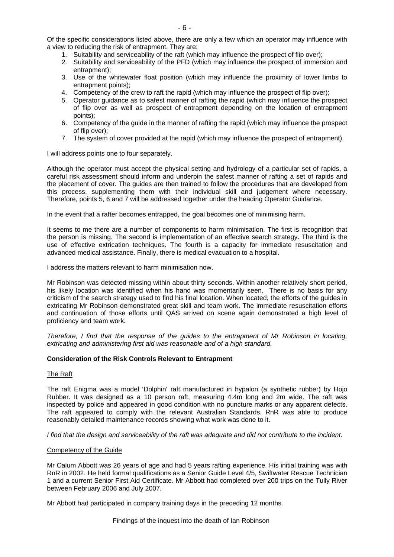Of the specific considerations listed above, there are only a few which an operator may influence with a view to reducing the risk of entrapment. They are:

- 1. Suitability and serviceability of the raft (which may influence the prospect of flip over);
- 2. Suitability and serviceability of the PFD (which may influence the prospect of immersion and entrapment);
- 3. Use of the whitewater float position (which may influence the proximity of lower limbs to entrapment points);
- 4. Competency of the crew to raft the rapid (which may influence the prospect of flip over);
- 5. Operator guidance as to safest manner of rafting the rapid (which may influence the prospect of flip over as well as prospect of entrapment depending on the location of entrapment points);
- 6. Competency of the guide in the manner of rafting the rapid (which may influence the prospect of flip over);
- 7. The system of cover provided at the rapid (which may influence the prospect of entrapment).

I will address points one to four separately.

Although the operator must accept the physical setting and hydrology of a particular set of rapids, a careful risk assessment should inform and underpin the safest manner of rafting a set of rapids and the placement of cover. The guides are then trained to follow the procedures that are developed from this process, supplementing them with their individual skill and judgement where necessary. Therefore, points 5, 6 and 7 will be addressed together under the heading Operator Guidance.

In the event that a rafter becomes entrapped, the goal becomes one of minimising harm.

It seems to me there are a number of components to harm minimisation. The first is recognition that the person is missing. The second is implementation of an effective search strategy. The third is the use of effective extrication techniques. The fourth is a capacity for immediate resuscitation and advanced medical assistance. Finally, there is medical evacuation to a hospital.

I address the matters relevant to harm minimisation now.

Mr Robinson was detected missing within about thirty seconds. Within another relatively short period, his likely location was identified when his hand was momentarily seen. There is no basis for any criticism of the search strategy used to find his final location. When located, the efforts of the guides in extricating Mr Robinson demonstrated great skill and team work. The immediate resuscitation efforts and continuation of those efforts until QAS arrived on scene again demonstrated a high level of proficiency and team work.

*Therefore, I find that the response of the guides to the entrapment of Mr Robinson in locating, extricating and administering first aid was reasonable and of a high standard.* 

# **Consideration of the Risk Controls Relevant to Entrapment**

# The Raft

The raft Enigma was a model 'Dolphin' raft manufactured in hypalon (a synthetic rubber) by Hojo Rubber. It was designed as a 10 person raft, measuring 4.4m long and 2m wide. The raft was inspected by police and appeared in good condition with no puncture marks or any apparent defects. The raft appeared to comply with the relevant Australian Standards. RnR was able to produce reasonably detailed maintenance records showing what work was done to it.

*I find that the design and serviceability of the raft was adequate and did not contribute to the incident.* 

# Competency of the Guide

Mr Calum Abbott was 26 years of age and had 5 years rafting experience. His initial training was with RnR in 2002. He held formal qualifications as a Senior Guide Level 4/5, Swiftwater Rescue Technician 1 and a current Senior First Aid Certificate. Mr Abbott had completed over 200 trips on the Tully River between February 2006 and July 2007.

Mr Abbott had participated in company training days in the preceding 12 months.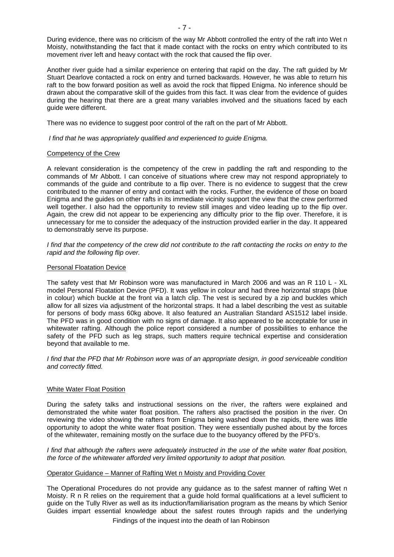During evidence, there was no criticism of the way Mr Abbott controlled the entry of the raft into Wet n Moisty, notwithstanding the fact that it made contact with the rocks on entry which contributed to its movement river left and heavy contact with the rock that caused the flip over.

Another river guide had a similar experience on entering that rapid on the day. The raft guided by Mr Stuart Dearlove contacted a rock on entry and turned backwards. However, he was able to return his raft to the bow forward position as well as avoid the rock that flipped Enigma. No inference should be drawn about the comparative skill of the guides from this fact. It was clear from the evidence of guides during the hearing that there are a great many variables involved and the situations faced by each guide were different.

There was no evidence to suggest poor control of the raft on the part of Mr Abbott.

*I find that he was appropriately qualified and experienced to guide Enigma.* 

# Competency of the Crew

A relevant consideration is the competency of the crew in paddling the raft and responding to the commands of Mr Abbott. I can conceive of situations where crew may not respond appropriately to commands of the guide and contribute to a flip over. There is no evidence to suggest that the crew contributed to the manner of entry and contact with the rocks. Further, the evidence of those on board Enigma and the guides on other rafts in its immediate vicinity support the view that the crew performed well together. I also had the opportunity to review still images and video leading up to the flip over. Again, the crew did not appear to be experiencing any difficulty prior to the flip over. Therefore, it is unnecessary for me to consider the adequacy of the instruction provided earlier in the day. It appeared to demonstrably serve its purpose.

*I* find that the competency of the crew did not contribute to the raft contacting the rocks on entry to the *rapid and the following flip over.* 

#### Personal Floatation Device

The safety vest that Mr Robinson wore was manufactured in March 2006 and was an R 110 L - XL model Personal Floatation Device (PFD). It was yellow in colour and had three horizontal straps (blue in colour) which buckle at the front via a latch clip. The vest is secured by a zip and buckles which allow for all sizes via adjustment of the horizontal straps. It had a label describing the vest as suitable for persons of body mass 60kg above. It also featured an Australian Standard AS1512 label inside. The PFD was in good condition with no signs of damage. It also appeared to be acceptable for use in whitewater rafting. Although the police report considered a number of possibilities to enhance the safety of the PFD such as leg straps, such matters require technical expertise and consideration beyond that available to me.

*I find that the PFD that Mr Robinson wore was of an appropriate design, in good serviceable condition and correctly fitted.* 

#### White Water Float Position

During the safety talks and instructional sessions on the river, the rafters were explained and demonstrated the white water float position. The rafters also practised the position in the river. On reviewing the video showing the rafters from Enigma being washed down the rapids, there was little opportunity to adopt the white water float position. They were essentially pushed about by the forces of the whitewater, remaining mostly on the surface due to the buoyancy offered by the PFD's.

*I find that although the rafters were adequately instructed in the use of the white water float position, the force of the whitewater afforded very limited opportunity to adopt that position.* 

#### Operator Guidance – Manner of Rafting Wet n Moisty and Providing Cover

Findings of the inquest into the death of Ian Robinson The Operational Procedures do not provide any guidance as to the safest manner of rafting Wet n Moisty. R n R relies on the requirement that a guide hold formal qualifications at a level sufficient to guide on the Tully River as well as its induction/familiarisation program as the means by which Senior Guides impart essential knowledge about the safest routes through rapids and the underlying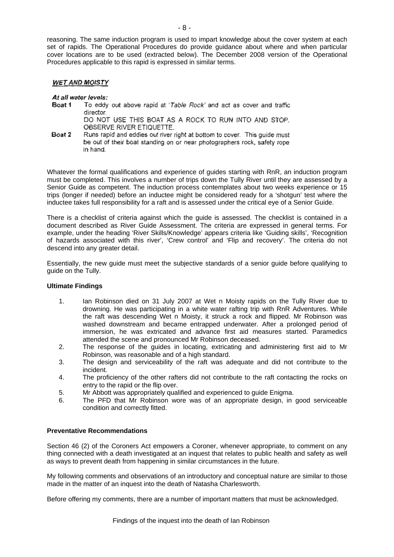reasoning. The same induction program is used to impart knowledge about the cover system at each set of rapids. The Operational Procedures do provide guidance about where and when particular cover locations are to be used (extracted below). The December 2008 version of the Operational Procedures applicable to this rapid is expressed in similar terms.

# **WET AND MOISTY**

# At all water levels:

- Boat 1 To eddy out above rapid at 'Table Rock' and act as cover and traffic director. DO NOT USE THIS BOAT AS A ROCK TO RUN INTO AND STOP. OBSERVE RIVER ETIQUETTE.
- Boat 2 Runs rapid and eddies out river right at bottom to cover. This quide must be out of their boat standing on or near photographers rock, safety rope in hand.

Whatever the formal qualifications and experience of guides starting with RnR, an induction program must be completed. This involves a number of trips down the Tully River until they are assessed by a Senior Guide as competent. The induction process contemplates about two weeks experience or 15 trips (longer if needed) before an inductee might be considered ready for a 'shotgun' test where the inductee takes full responsibility for a raft and is assessed under the critical eye of a Senior Guide.

There is a checklist of criteria against which the guide is assessed. The checklist is contained in a document described as River Guide Assessment. The criteria are expressed in general terms. For example, under the heading 'River Skills/Knowledge' appears criteria like 'Guiding skills', 'Recognition of hazards associated with this river', 'Crew control' and 'Flip and recovery'. The criteria do not descend into any greater detail.

Essentially, the new guide must meet the subjective standards of a senior guide before qualifying to guide on the Tully.

# **Ultimate Findings**

- 1. Ian Robinson died on 31 July 2007 at Wet n Moisty rapids on the Tully River due to drowning. He was participating in a white water rafting trip with RnR Adventures. While the raft was descending Wet n Moisty, it struck a rock and flipped. Mr Robinson was washed downstream and became entrapped underwater. After a prolonged period of immersion, he was extricated and advance first aid measures started. Paramedics attended the scene and pronounced Mr Robinson deceased.
- 2. The response of the guides in locating, extricating and administering first aid to Mr Robinson, was reasonable and of a high standard.
- 3. The design and serviceability of the raft was adequate and did not contribute to the incident.
- 4. The proficiency of the other rafters did not contribute to the raft contacting the rocks on entry to the rapid or the flip over.
- 5. Mr Abbott was appropriately qualified and experienced to guide Enigma.
- 6. The PFD that Mr Robinson wore was of an appropriate design, in good serviceable condition and correctly fitted.

# **Preventative Recommendations**

Section 46 (2) of the Coroners Act empowers a Coroner, whenever appropriate, to comment on any thing connected with a death investigated at an inquest that relates to public health and safety as well as ways to prevent death from happening in similar circumstances in the future.

My following comments and observations of an introductory and conceptual nature are similar to those made in the matter of an inquest into the death of Natasha Charlesworth.

Before offering my comments, there are a number of important matters that must be acknowledged.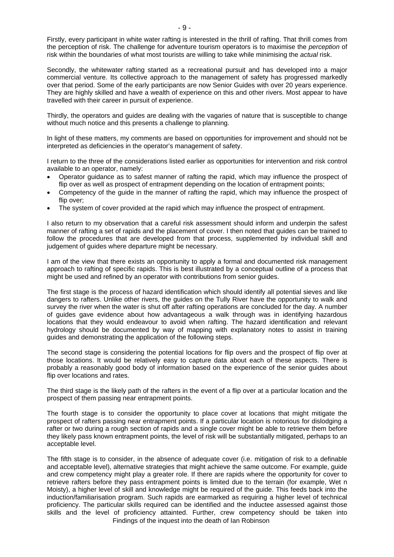Firstly, every participant in white water rafting is interested in the thrill of rafting. That thrill comes from the perception of risk. The challenge for adventure tourism operators is to maximise the *perception* of risk within the boundaries of what most tourists are willing to take while minimising the *actual* risk.

Secondly, the whitewater rafting started as a recreational pursuit and has developed into a major commercial venture. Its collective approach to the management of safety has progressed markedly over that period. Some of the early participants are now Senior Guides with over 20 years experience. They are highly skilled and have a wealth of experience on this and other rivers. Most appear to have travelled with their career in pursuit of experience.

Thirdly, the operators and guides are dealing with the vagaries of nature that is susceptible to change without much notice and this presents a challenge to planning.

In light of these matters, my comments are based on opportunities for improvement and should not be interpreted as deficiencies in the operator's management of safety.

I return to the three of the considerations listed earlier as opportunities for intervention and risk control available to an operator, namely:

- Operator guidance as to safest manner of rafting the rapid, which may influence the prospect of flip over as well as prospect of entrapment depending on the location of entrapment points;
- Competency of the guide in the manner of rafting the rapid, which may influence the prospect of flip over:
- The system of cover provided at the rapid which may influence the prospect of entrapment.

I also return to my observation that a careful risk assessment should inform and underpin the safest manner of rafting a set of rapids and the placement of cover. I then noted that guides can be trained to follow the procedures that are developed from that process, supplemented by individual skill and judgement of guides where departure might be necessary.

I am of the view that there exists an opportunity to apply a formal and documented risk management approach to rafting of specific rapids. This is best illustrated by a conceptual outline of a process that might be used and refined by an operator with contributions from senior guides.

The first stage is the process of hazard identification which should identify all potential sieves and like dangers to rafters. Unlike other rivers, the guides on the Tully River have the opportunity to walk and survey the river when the water is shut off after rafting operations are concluded for the day. A number of guides gave evidence about how advantageous a walk through was in identifying hazardous locations that they would endeavour to avoid when rafting. The hazard identification and relevant hydrology should be documented by way of mapping with explanatory notes to assist in training guides and demonstrating the application of the following steps.

The second stage is considering the potential locations for flip overs and the prospect of flip over at those locations. It would be relatively easy to capture data about each of these aspects. There is probably a reasonably good body of information based on the experience of the senior guides about flip over locations and rates.

The third stage is the likely path of the rafters in the event of a flip over at a particular location and the prospect of them passing near entrapment points.

The fourth stage is to consider the opportunity to place cover at locations that might mitigate the prospect of rafters passing near entrapment points. If a particular location is notorious for dislodging a rafter or two during a rough section of rapids and a single cover might be able to retrieve them before they likely pass known entrapment points, the level of risk will be substantially mitigated, perhaps to an acceptable level.

Findings of the inquest into the death of Ian Robinson The fifth stage is to consider, in the absence of adequate cover (i.e. mitigation of risk to a definable and acceptable level), alternative strategies that might achieve the same outcome. For example, guide and crew competency might play a greater role. If there are rapids where the opportunity for cover to retrieve rafters before they pass entrapment points is limited due to the terrain (for example, Wet n Moisty), a higher level of skill and knowledge might be required of the guide. This feeds back into the induction/familiarisation program. Such rapids are earmarked as requiring a higher level of technical proficiency. The particular skills required can be identified and the inductee assessed against those skills and the level of proficiency attainted. Further, crew competency should be taken into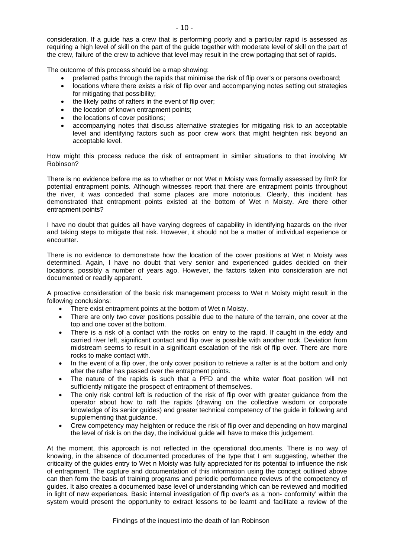the crew, failure of the crew to achieve that level may result in the crew portaging that set of rapids.

The outcome of this process should be a map showing:

- preferred paths through the rapids that minimise the risk of flip over's or persons overboard;
- locations where there exists a risk of flip over and accompanying notes setting out strategies for mitigating that possibility;
- the likely paths of rafters in the event of flip over;
- the location of known entrapment points;
- the locations of cover positions;
- accompanying notes that discuss alternative strategies for mitigating risk to an acceptable level and identifying factors such as poor crew work that might heighten risk beyond an acceptable level.

How might this process reduce the risk of entrapment in similar situations to that involving Mr Robinson?

There is no evidence before me as to whether or not Wet n Moisty was formally assessed by RnR for potential entrapment points. Although witnesses report that there are entrapment points throughout the river, it was conceded that some places are more notorious. Clearly, this incident has demonstrated that entrapment points existed at the bottom of Wet n Moisty. Are there other entrapment points?

I have no doubt that guides all have varying degrees of capability in identifying hazards on the river and taking steps to mitigate that risk. However, it should not be a matter of individual experience or encounter.

There is no evidence to demonstrate how the location of the cover positions at Wet n Moisty was determined. Again, I have no doubt that very senior and experienced guides decided on their locations, possibly a number of years ago. However, the factors taken into consideration are not documented or readily apparent.

A proactive consideration of the basic risk management process to Wet n Moisty might result in the following conclusions:

- There exist entrapment points at the bottom of Wet n Moisty.
- There are only two cover positions possible due to the nature of the terrain, one cover at the top and one cover at the bottom.
- There is a risk of a contact with the rocks on entry to the rapid. If caught in the eddy and carried river left, significant contact and flip over is possible with another rock. Deviation from midstream seems to result in a significant escalation of the risk of flip over. There are more rocks to make contact with.
- In the event of a flip over, the only cover position to retrieve a rafter is at the bottom and only after the rafter has passed over the entrapment points.
- The nature of the rapids is such that a PFD and the white water float position will not sufficiently mitigate the prospect of entrapment of themselves.
- The only risk control left is reduction of the risk of flip over with greater guidance from the operator about how to raft the rapids (drawing on the collective wisdom or corporate knowledge of its senior guides) and greater technical competency of the guide in following and supplementing that guidance.
- Crew competency may heighten or reduce the risk of flip over and depending on how marginal the level of risk is on the day, the individual guide will have to make this judgement.

At the moment, this approach is not reflected in the operational documents. There is no way of knowing, in the absence of documented procedures of the type that I am suggesting, whether the criticality of the guides entry to Wet n Moisty was fully appreciated for its potential to influence the risk of entrapment. The capture and documentation of this information using the concept outlined above can then form the basis of training programs and periodic performance reviews of the competency of guides. It also creates a documented base level of understanding which can be reviewed and modified in light of new experiences. Basic internal investigation of flip over's as a 'non- conformity' within the system would present the opportunity to extract lessons to be learnt and facilitate a review of the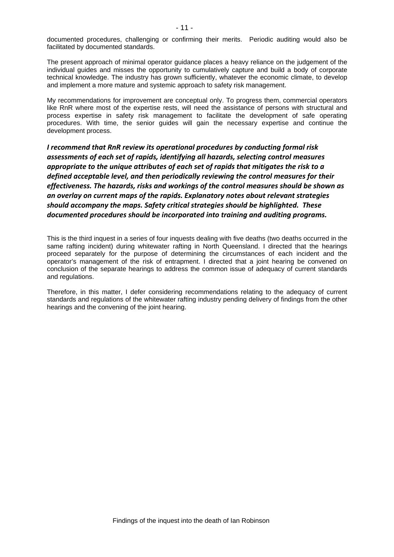documented procedures, challenging or confirming their merits. Periodic auditing would also be facilitated by documented standards.

The present approach of minimal operator guidance places a heavy reliance on the judgement of the individual guides and misses the opportunity to cumulatively capture and build a body of corporate technical knowledge. The industry has grown sufficiently, whatever the economic climate, to develop and implement a more mature and systemic approach to safety risk management.

My recommendations for improvement are conceptual only. To progress them, commercial operators like RnR where most of the expertise rests, will need the assistance of persons with structural and process expertise in safety risk management to facilitate the development of safe operating procedures. With time, the senior guides will gain the necessary expertise and continue the development process.

*I recommend that RnR review its operational procedures by conducting formal risk assessments of each set of rapids, identifying all hazards, selecting control measures appropriate to the unique attributes of each set of rapids that mitigates the risk to a defined acceptable level, and then periodically reviewing the control measures for their effectiveness. The hazards, risks and workings of the control measures should be shown as an overlay on current maps of the rapids. Explanatory notes about relevant strategies should accompany the maps. Safety critical strategies should be highlighted. These documented procedures should be incorporated into training and auditing programs.* 

This is the third inquest in a series of four inquests dealing with five deaths (two deaths occurred in the same rafting incident) during whitewater rafting in North Queensland. I directed that the hearings proceed separately for the purpose of determining the circumstances of each incident and the operator's management of the risk of entrapment. I directed that a joint hearing be convened on conclusion of the separate hearings to address the common issue of adequacy of current standards and regulations.

Therefore, in this matter, I defer considering recommendations relating to the adequacy of current standards and regulations of the whitewater rafting industry pending delivery of findings from the other hearings and the convening of the joint hearing.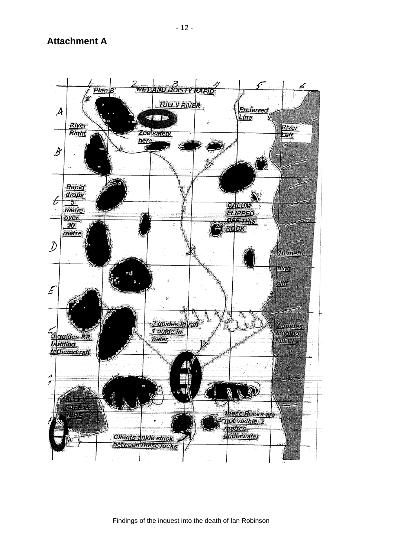**Attachment A** 



Findings of the inquest into the death of Ian Robinson